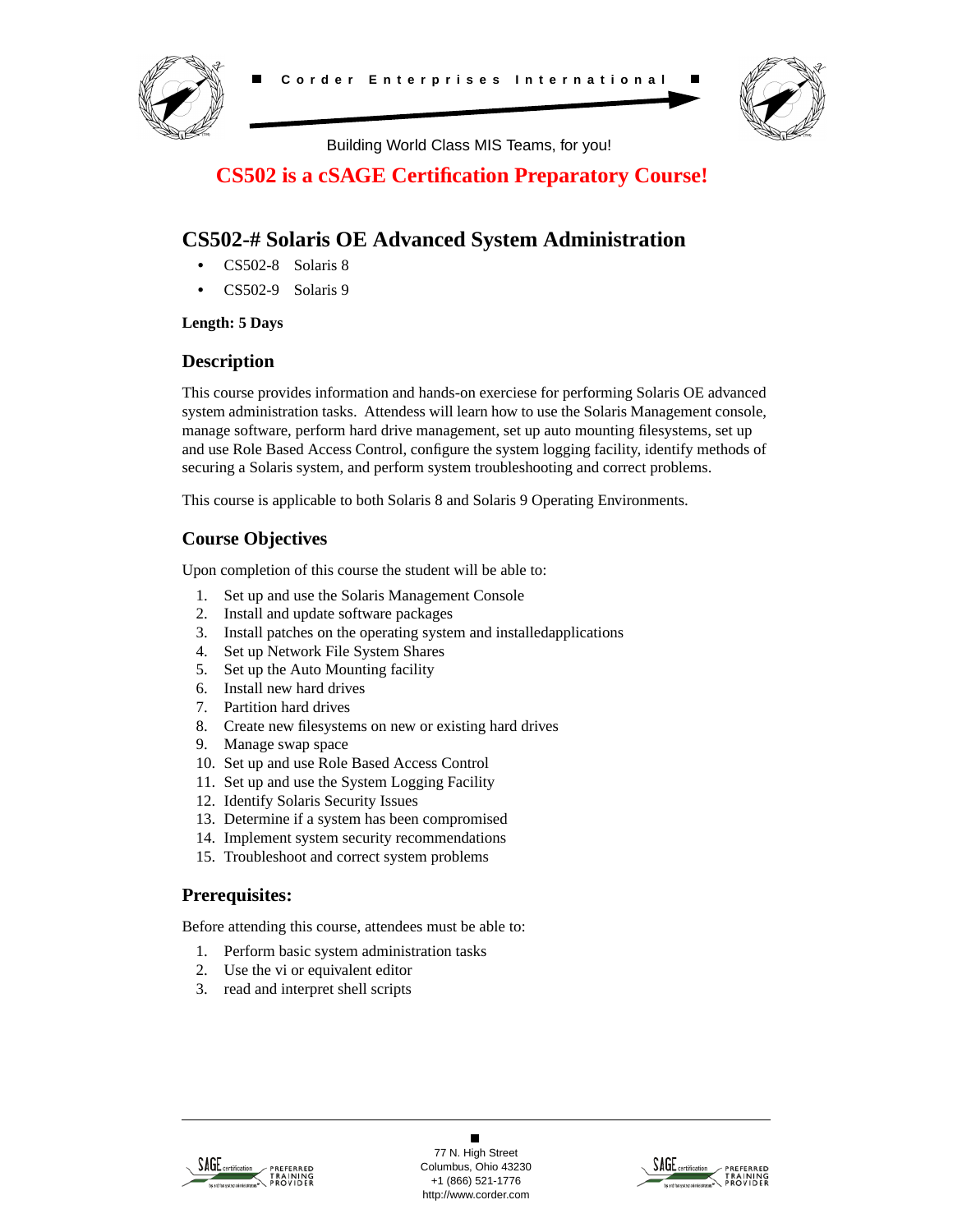



Building World Class MIS Teams, for you!

# **CS502 is a cSAGE Certification Preparatory Course!**

# **CS502-# Solaris OE Advanced System Administration**

- **•** CS502-8 Solaris 8
- **•** CS502-9 Solaris 9

### **Length: 5 Days**

### **Description**

This course provides information and hands-on exerciese for performing Solaris OE advanced system administration tasks. Attendess will learn how to use the Solaris Management console, manage software, perform hard drive management, set up auto mounting filesystems, set up and use Role Based Access Control, configure the system logging facility, identify methods of securing a Solaris system, and perform system troubleshooting and correct problems.

This course is applicable to both Solaris 8 and Solaris 9 Operating Environments.

# **Course Objectives**

Upon completion of this course the student will be able to:

- 1. Set up and use the Solaris Management Console
- 2. Install and update software packages
- 3. Install patches on the operating system and installedapplications
- 4. Set up Network File System Shares
- 5. Set up the Auto Mounting facility
- 6. Install new hard drives
- 7. Partition hard drives
- 8. Create new filesystems on new or existing hard drives
- 9. Manage swap space
- 10. Set up and use Role Based Access Control
- 11. Set up and use the System Logging Facility
- 12. Identify Solaris Security Issues
- 13. Determine if a system has been compromised
- 14. Implement system security recommendations
- 15. Troubleshoot and correct system problems

### **Prerequisites:**

Before attending this course, attendees must be able to:

- 1. Perform basic system administration tasks
- 2. Use the vi or equivalent editor
- 3. read and interpret shell scripts



 $\blacksquare$ 77 N. High Street Columbus, Ohio 43230 +1 (866) 521-1776 http://www.corder.com

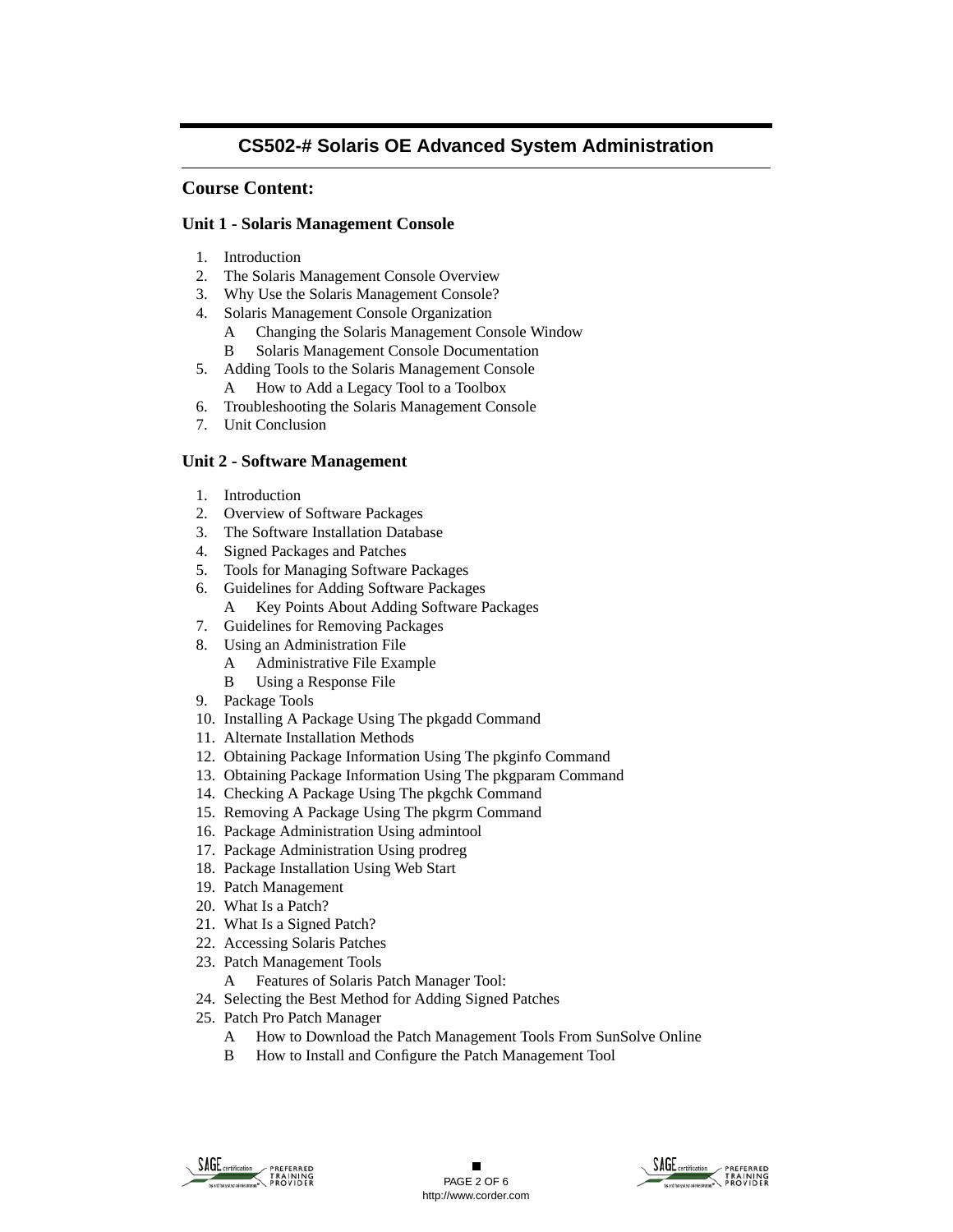### **Course Content:**

#### **Unit 1 - Solaris Management Console**

- 1. Introduction
- 2. The Solaris Management Console Overview
- 3. Why Use the Solaris Management Console?
- 4. Solaris Management Console Organization
	- A Changing the Solaris Management Console Window
	- B Solaris Management Console Documentation
- 5. Adding Tools to the Solaris Management Console A How to Add a Legacy Tool to a Toolbox
- 6. Troubleshooting the Solaris Management Console
- 7. Unit Conclusion

#### **Unit 2 - Software Management**

- 1. Introduction
- 2. Overview of Software Packages
- 3. The Software Installation Database
- 4. Signed Packages and Patches
- 5. Tools for Managing Software Packages
- 6. Guidelines for Adding Software Packages
	- A Key Points About Adding Software Packages
- 7. Guidelines for Removing Packages
- 8. Using an Administration File
	- A Administrative File Example
	- B Using a Response File
- 9. Package Tools
- 10. Installing A Package Using The pkgadd Command
- 11. Alternate Installation Methods
- 12. Obtaining Package Information Using The pkginfo Command
- 13. Obtaining Package Information Using The pkgparam Command
- 14. Checking A Package Using The pkgchk Command
- 15. Removing A Package Using The pkgrm Command
- 16. Package Administration Using admintool
- 17. Package Administration Using prodreg
- 18. Package Installation Using Web Start
- 19. Patch Management
- 20. What Is a Patch?
- 21. What Is a Signed Patch?
- 22. Accessing Solaris Patches
- 23. Patch Management Tools
	- A Features of Solaris Patch Manager Tool:
- 24. Selecting the Best Method for Adding Signed Patches
- 25. Patch Pro Patch Manager
	- A How to Download the Patch Management Tools From SunSolve Online
	- B How to Install and Configure the Patch Management Tool



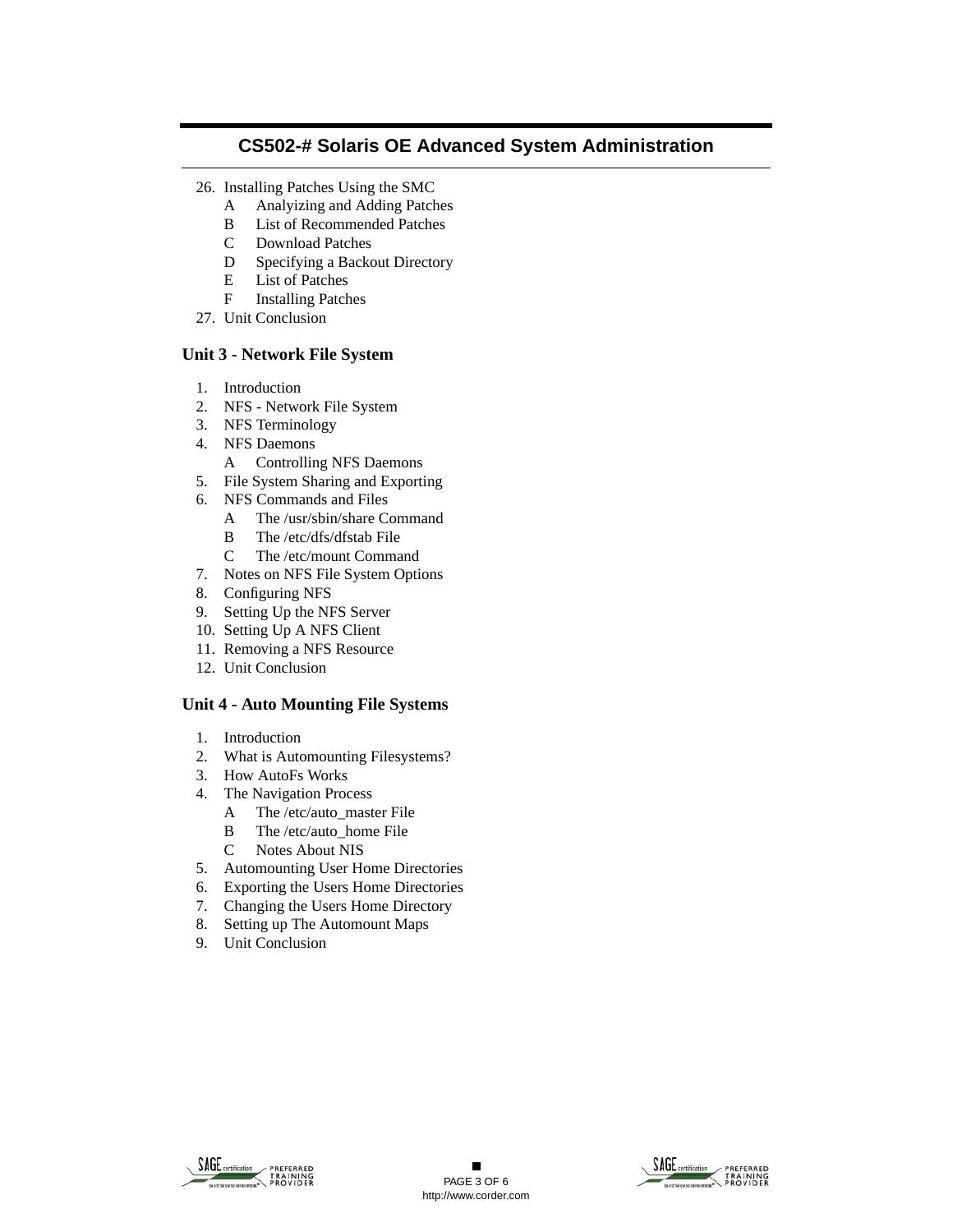- 26. Installing Patches Using the SMC
	- A Analyizing and Adding Patches
	- B List of Recommended Patches
	- C Download Patches
	- D Specifying a Backout Directory
	- E List of Patches
	- F Installing Patches
- 27. Unit Conclusion

### **Unit 3 - Network File System**

- 1. Introduction
- 2. NFS Network File System
- 3. NFS Terminology
- 4. NFS Daemons
	- A Controlling NFS Daemons
- 5. File System Sharing and Exporting
- 6. NFS Commands and Files
	- A The /usr/sbin/share Command
	- B The /etc/dfs/dfstab File
	- C The /etc/mount Command
- 7. Notes on NFS File System Options
- 8. Configuring NFS
- 9. Setting Up the NFS Server
- 10. Setting Up A NFS Client
- 11. Removing a NFS Resource
- 12. Unit Conclusion

#### **Unit 4 - Auto Mounting File Systems**

- 1. Introduction
- 2. What is Automounting Filesystems?
- 3. How AutoFs Works
- 4. The Navigation Process
	- A The /etc/auto\_master File
	- B The /etc/auto home File
	- C Notes About NIS
- 5. Automounting User Home Directories
- 6. Exporting the Users Home Directories
- 7. Changing the Users Home Directory
- 8. Setting up The Automount Maps
- 9. Unit Conclusion



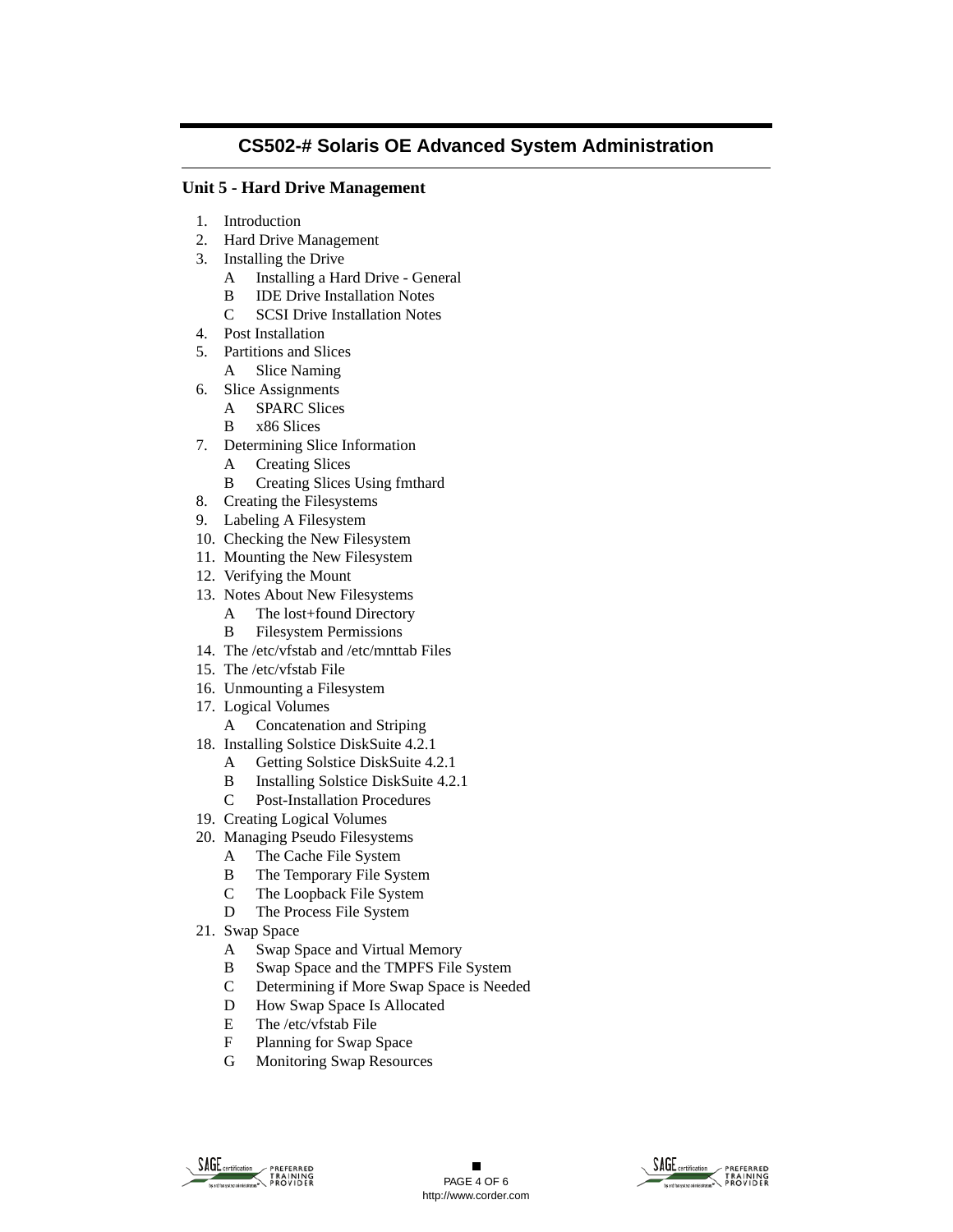#### **Unit 5 - Hard Drive Management**

- 1. Introduction
- 2. Hard Drive Management
- 3. Installing the Drive
	- A Installing a Hard Drive General
	- B IDE Drive Installation Notes
	- C SCSI Drive Installation Notes
- 4. Post Installation
- 5. Partitions and Slices
	- A Slice Naming
- 6. Slice Assignments
	- A SPARC Slices
	- B x86 Slices
- 7. Determining Slice Information
	- A Creating Slices
	- B Creating Slices Using fmthard
- 8. Creating the Filesystems
- 9. Labeling A Filesystem
- 10. Checking the New Filesystem
- 11. Mounting the New Filesystem
- 12. Verifying the Mount
- 13. Notes About New Filesystems
	- A The lost+found Directory
	- B Filesystem Permissions
- 14. The /etc/vfstab and /etc/mnttab Files
- 15. The /etc/vfstab File
- 16. Unmounting a Filesystem
- 17. Logical Volumes
	- A Concatenation and Striping
- 18. Installing Solstice DiskSuite 4.2.1
	- A Getting Solstice DiskSuite 4.2.1
	- B Installing Solstice DiskSuite 4.2.1
	- C Post-Installation Procedures
- 19. Creating Logical Volumes
- 20. Managing Pseudo Filesystems
	- A The Cache File System
	- B The Temporary File System
	- C The Loopback File System
	- D The Process File System
- 21. Swap Space
	- A Swap Space and Virtual Memory
	- B Swap Space and the TMPFS File System
	- C Determining if More Swap Space is Needed
	- D How Swap Space Is Allocated
	- E The /etc/vfstab File
	- F Planning for Swap Space
	- G Monitoring Swap Resources



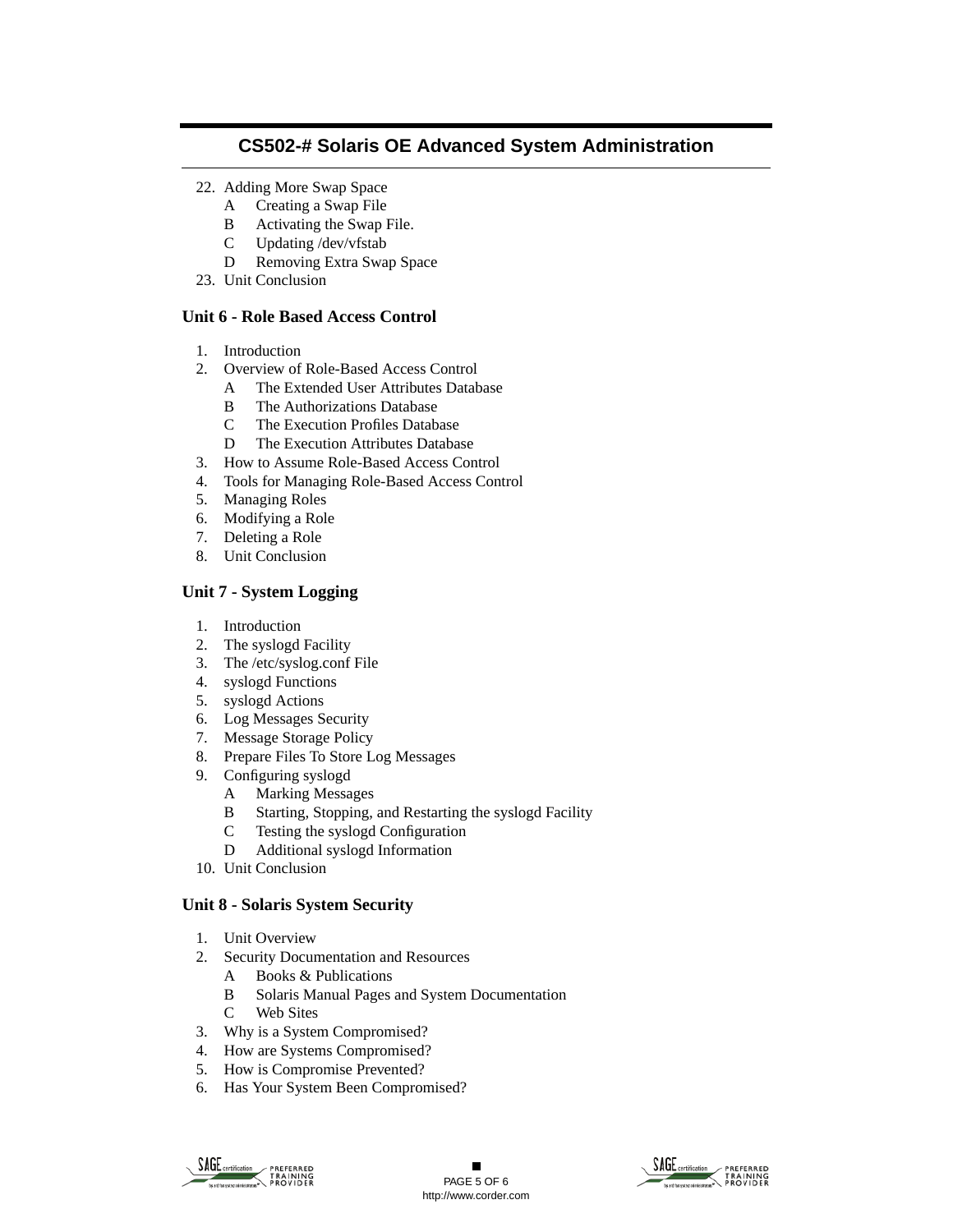- 22. Adding More Swap Space
	- A Creating a Swap File
	- B Activating the Swap File.
	- C Updating /dev/vfstab
	- D Removing Extra Swap Space
- 23. Unit Conclusion

### **Unit 6 - Role Based Access Control**

- 1. Introduction
- 2. Overview of Role-Based Access Control
	- A The Extended User Attributes Database
	- B The Authorizations Database
	- C The Execution Profiles Database
	- D The Execution Attributes Database
- 3. How to Assume Role-Based Access Control
- 4. Tools for Managing Role-Based Access Control
- 5. Managing Roles
- 6. Modifying a Role
- 7. Deleting a Role
- 8. Unit Conclusion

### **Unit 7 - System Logging**

- 1. Introduction
- 2. The syslogd Facility
- 3. The /etc/syslog.conf File
- 4. syslogd Functions
- 5. syslogd Actions
- 6. Log Messages Security
- 7. Message Storage Policy
- 8. Prepare Files To Store Log Messages
- 9. Configuring syslogd
	- A Marking Messages
	- B Starting, Stopping, and Restarting the syslogd Facility
	- C Testing the syslogd Configuration
	- D Additional syslogd Information
- 10. Unit Conclusion

### **Unit 8 - Solaris System Security**

- 1. Unit Overview
- 2. Security Documentation and Resources
	- A Books & Publications
	- B Solaris Manual Pages and System Documentation
	- C Web Sites
- 3. Why is a System Compromised?
- 4. How are Systems Compromised?
- 5. How is Compromise Prevented?
- 6. Has Your System Been Compromised?